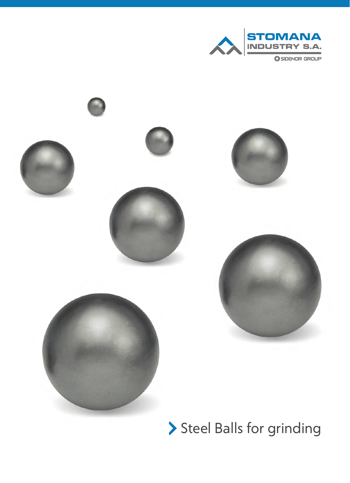



> Steel Balls for grinding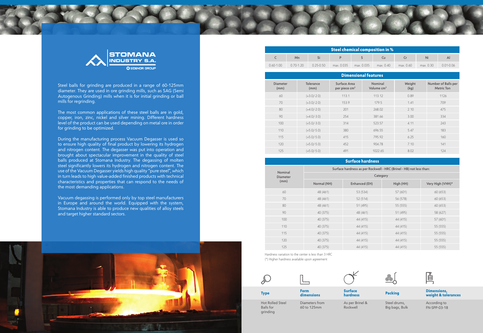



Steel balls for grinding are produced in a range of 60-125mm diameter. They are used in ore grinding mills, such as SAG (Semi Autogenous Grinding) mills when it is for initial grinding or ball mills for regrinding.

The most common applications of these steel balls are in gold, copper, iron, zinc, nickel and silver mining. Different hardness level of the product can be used depending on metal ore in order for grinding to be optimized.

During the manufacturing process Vacuum Degasser is used so to ensure high quality of final product by lowering its hydrogen and nitrogen content. The degasser was put into operation and brought about spectacular improvement in the quality of steel balls produced at Stomana Industry. The degassing of molten steel significantly lowers its hydrogen and nitrogen content. The use of the Vacuum Degasser yields high quality "pure steel", which in turn leads to high value-added finished products with technical characteristics and properties that can respond to the needs of the most demanding applications.

Vacuum degassing is performed only by top steel manufacturers in Europe and around the world. Equipped with the system, Stomana Industry is able to produce new qualities of alloy steels and target higher standard sectors.

> Hot Rolled Steel Balls for grinding

**Type Form** 

**dimensions**

Diameters from 60 to 125mm

As per Brinel & Rockwell





**Surface hardness**

According to FN-SPP-03-18

**Dimensions, weight & tolerances Packing** 

Steel drums, Big bags, Bulk



| <b>Dimensional features</b> |                   |                                                  |                         |                |                                          |  |  |  |
|-----------------------------|-------------------|--------------------------------------------------|-------------------------|----------------|------------------------------------------|--|--|--|
| <b>Diameter</b><br>(mm)     | Tolerance<br>(mm) | <b>Surface Area</b><br>per piece cm <sup>2</sup> | Nominal<br>Volume $cm3$ | Weight<br>(kg) | Number of Balls per<br><b>Metric Ton</b> |  |  |  |
| 60                          | $(+3.0/-2.0)$     | 113.1                                            | 113.12                  | 0.89           | 1126                                     |  |  |  |
| 70                          | $(+3.0/-2.0)$     | 153.9                                            | 179.5                   | 1.41           | 709                                      |  |  |  |
| 80                          | $(+4.0/-2.0)$     | 201                                              | 268.02                  | 2.10           | 475                                      |  |  |  |
| 90                          | $(+4.0/-3.0)$     | 254                                              | 381.66                  | 3.00           | 334                                      |  |  |  |
| 100                         | $(+5.0/-3.0)$     | 314                                              | 523.57                  | 4.11           | 243                                      |  |  |  |
| 110                         | $(+5.0/-5.0)$     | 380                                              | 696.55                  | 5.47           | 183                                      |  |  |  |
| 115                         | $(+5.0/-5.0)$     | 415                                              | 795.92                  | 6.25           | 160                                      |  |  |  |
| 120                         | $(+5.0/-5.0)$     | 452                                              | 904.78                  | 7.10           | 141                                      |  |  |  |
| 125                         | $(+5.0/-5.0)$     | 491                                              | 1022.65                 | 8.02           | 124                                      |  |  |  |

| Nominal                 | Surface hardness as per Rockwell - HRC (Brinel - HB) not less than: |               |           |                  |  |  |  |
|-------------------------|---------------------------------------------------------------------|---------------|-----------|------------------|--|--|--|
| <b>Diameter</b><br>(mm) | Category                                                            |               |           |                  |  |  |  |
|                         | Normal (NH)                                                         | Enhanced (EH) | High (HH) | Very High (VHH)* |  |  |  |
| 60                      | 48 (461)                                                            | 53 (534)      | 57 (601)  | 60 (653)         |  |  |  |
| 70                      | 48 (461)                                                            | 52 (514)      | 56 (578)  | 60(653)          |  |  |  |
| 80                      | 48 (461)                                                            | 51 (495)      | 55 (555)  | 60(653)          |  |  |  |
| 90                      | 40 (375)                                                            | 48 (461)      | 51 (495)  | 58 (627)         |  |  |  |
| 100                     | 40 (375)                                                            | 44 (415)      | 44 (415)  | 57 (601)         |  |  |  |
| 110                     | 40 (375)                                                            | 44 (415)      | 44 (415)  | 55 (555)         |  |  |  |
| 115                     | 40 (375)                                                            | 44 (415)      | 44 (415)  | 55 (555)         |  |  |  |
| 120                     | 40 (375)                                                            | 44 (415)      | 44 (415)  | 55 (555)         |  |  |  |
| 125                     | 40 (375)                                                            | 44 (415)      | 44 (415)  | 55 (555)         |  |  |  |

## **Surface hardness**

| $\,$ Steel chemical composition in $\%$ $\,$ |               |               |            |            |           |           |           |               |  |
|----------------------------------------------|---------------|---------------|------------|------------|-----------|-----------|-----------|---------------|--|
|                                              | Mn            |               |            |            |           |           | Ni        | $\mathsf{A}$  |  |
| $0.60 - 1.00$                                | $0.70 - 1.20$ | $0.25 - 0.50$ | max. 0.035 | max. 0.035 | max. 0.40 | max. 0.60 | max. 0.30 | $0.01 - 0.06$ |  |

Hardness variation to the center is less than 3 HRC (\*) Higher hardness available upon agreement